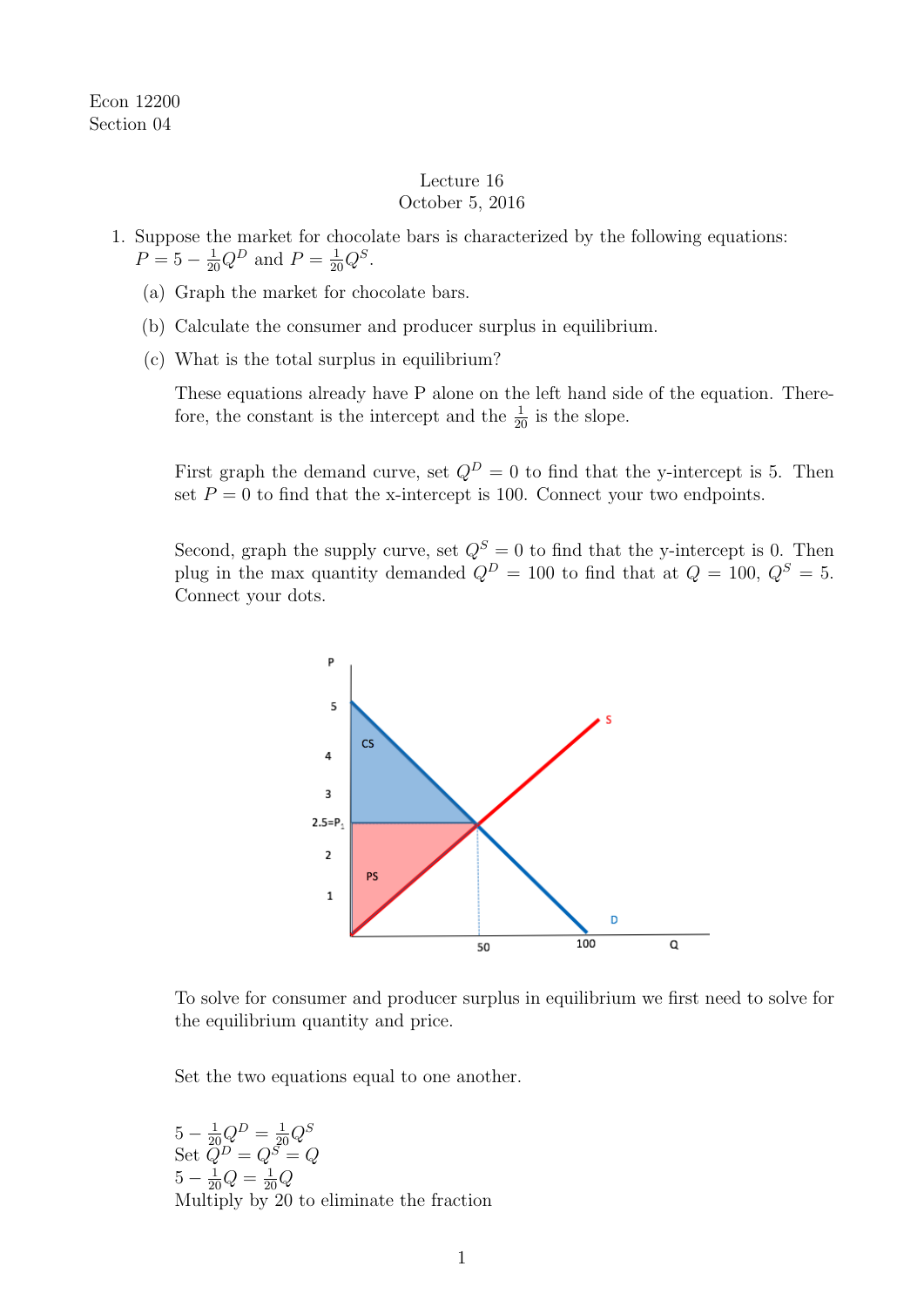Econ 12200 Section 04

## Lecture 16 October 5, 2016

- 1. Suppose the market for chocolate bars is characterized by the following equations:  $P = 5 - \frac{1}{20}Q^D$  and  $P = \frac{1}{20}Q^S$ .
	- (a) Graph the market for chocolate bars.
	- (b) Calculate the consumer and producer surplus in equilibrium.
	- (c) What is the total surplus in equilibrium?

These equations already have P alone on the left hand side of the equation. Therefore, the constant is the intercept and the  $\frac{1}{20}$  is the slope.

First graph the demand curve, set  $Q^D = 0$  to find that the y-intercept is 5. Then set  $P = 0$  to find that the x-intercept is 100. Connect your two endpoints.

Second, graph the supply curve, set  $Q^S = 0$  to find that the y-intercept is 0. Then plug in the max quantity demanded  $Q^D = 100$  to find that at  $Q = 100$ ,  $Q^S = 5$ . Connect your dots.



To solve for consumer and producer surplus in equilibrium we first need to solve for the equilibrium quantity and price.

Set the two equations equal to one another.

 $5 - \frac{1}{20}Q^D = \frac{1}{20}Q^S$ Set  $\dot{Q}^D = Q^S = Q$  $5 - \frac{1}{20}Q = \frac{1}{20}Q$ Multiply by 20 to eliminate the fraction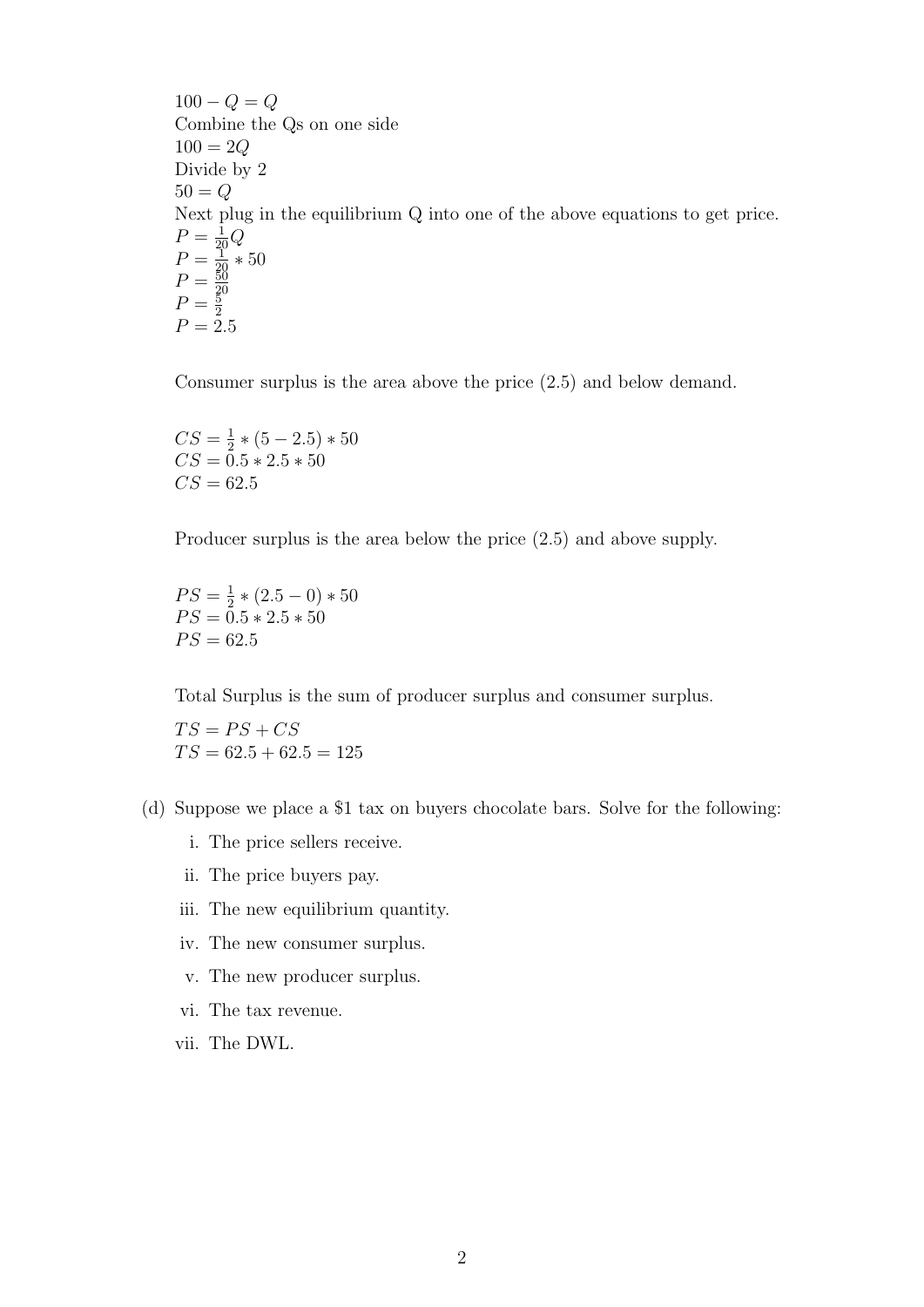$100 - Q = Q$ Combine the Qs on one side 100 = 2*Q* Divide by 2  $50 = Q$ Next plug in the equilibrium Q into one of the above equations to get price.  $P = \frac{1}{20}Q$  $P = \frac{1}{20} * 50$  $P = \frac{50}{20}$ <br>  $P = \frac{5}{2}$ <br>  $P = 2.5$ 

Consumer surplus is the area above the price (2.5) and below demand.

 $CS = \frac{1}{2} * (5 - 2.5) * 50$  $CS = 0.5 * 2.5 * 50$  $CS = 62.5$ 

Producer surplus is the area below the price (2.5) and above supply.

 $PS = \frac{1}{2} * (2.5 - 0) * 50$  $PS = 0.5 * 2.5 * 50$  $PS = 62.5$ 

Total Surplus is the sum of producer surplus and consumer surplus.

 $TS = PS + CS$  $TS = 62.5 + 62.5 = 125$ 

- (d) Suppose we place a \$1 tax on buyers chocolate bars. Solve for the following:
	- i. The price sellers receive.
	- ii. The price buyers pay.
	- iii. The new equilibrium quantity.
	- iv. The new consumer surplus.
	- v. The new producer surplus.
	- vi. The tax revenue.
	- vii. The DWL.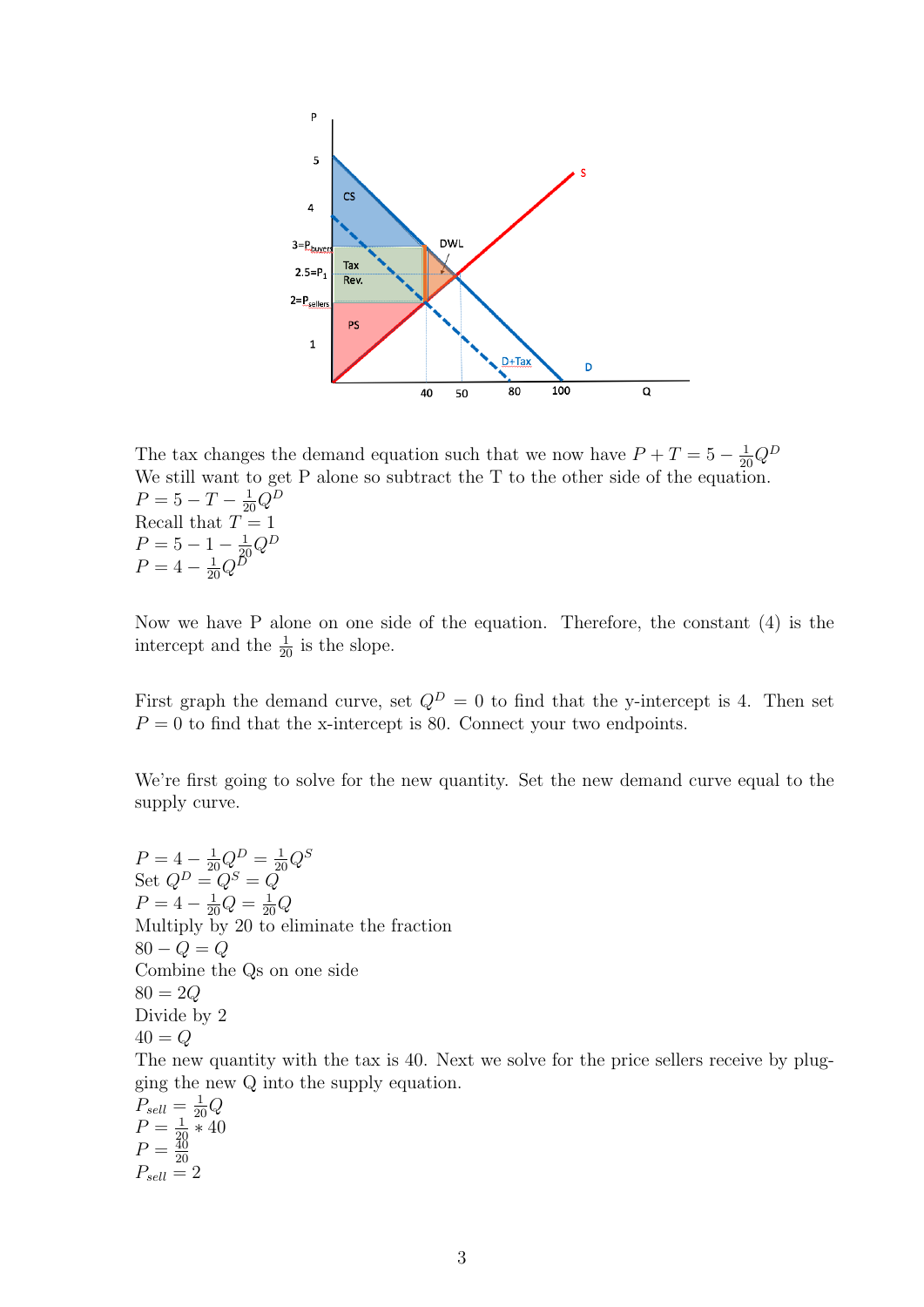

The tax changes the demand equation such that we now have  $P + T = 5 - \frac{1}{20}Q^D$ We still want to get P alone so subtract the T to the other side of the equation.  $P = 5 - T - \frac{1}{20}Q^D$ Recall that  $T=1$  $P = 5 - 1 - \frac{1}{20}Q^D$  $P = 4 - \frac{1}{20}Q^D$ 

Now we have P alone on one side of the equation. Therefore, the constant (4) is the intercept and the  $\frac{1}{20}$  is the slope.

First graph the demand curve, set  $Q^D = 0$  to find that the y-intercept is 4. Then set  $P = 0$  to find that the x-intercept is 80. Connect your two endpoints.

We're first going to solve for the new quantity. Set the new demand curve equal to the supply curve.

 $P = 4 - \frac{1}{20}Q^D = \frac{1}{20}Q^S$ Set  $Q^D = Q^S = Q$  $P = 4 - \frac{1}{20}Q = \frac{1}{20}Q$ Multiply by 20 to eliminate the fraction  $80 - Q = Q$ Combine the Qs on one side 80 = 2*Q* Divide by 2  $40 = Q$ The new quantity with the tax is 40. Next we solve for the price sellers receive by plugging the new Q into the supply equation.  $P_{sell} = \frac{1}{20}$  $\frac{1}{20}Q$  $\overline{0}$ 

$$
P_{sell} = \frac{1}{20} Q
$$
  
\n
$$
P = \frac{1}{20} * 40
$$
  
\n
$$
P = \frac{40}{20}
$$
  
\n
$$
P_{sell} = 2
$$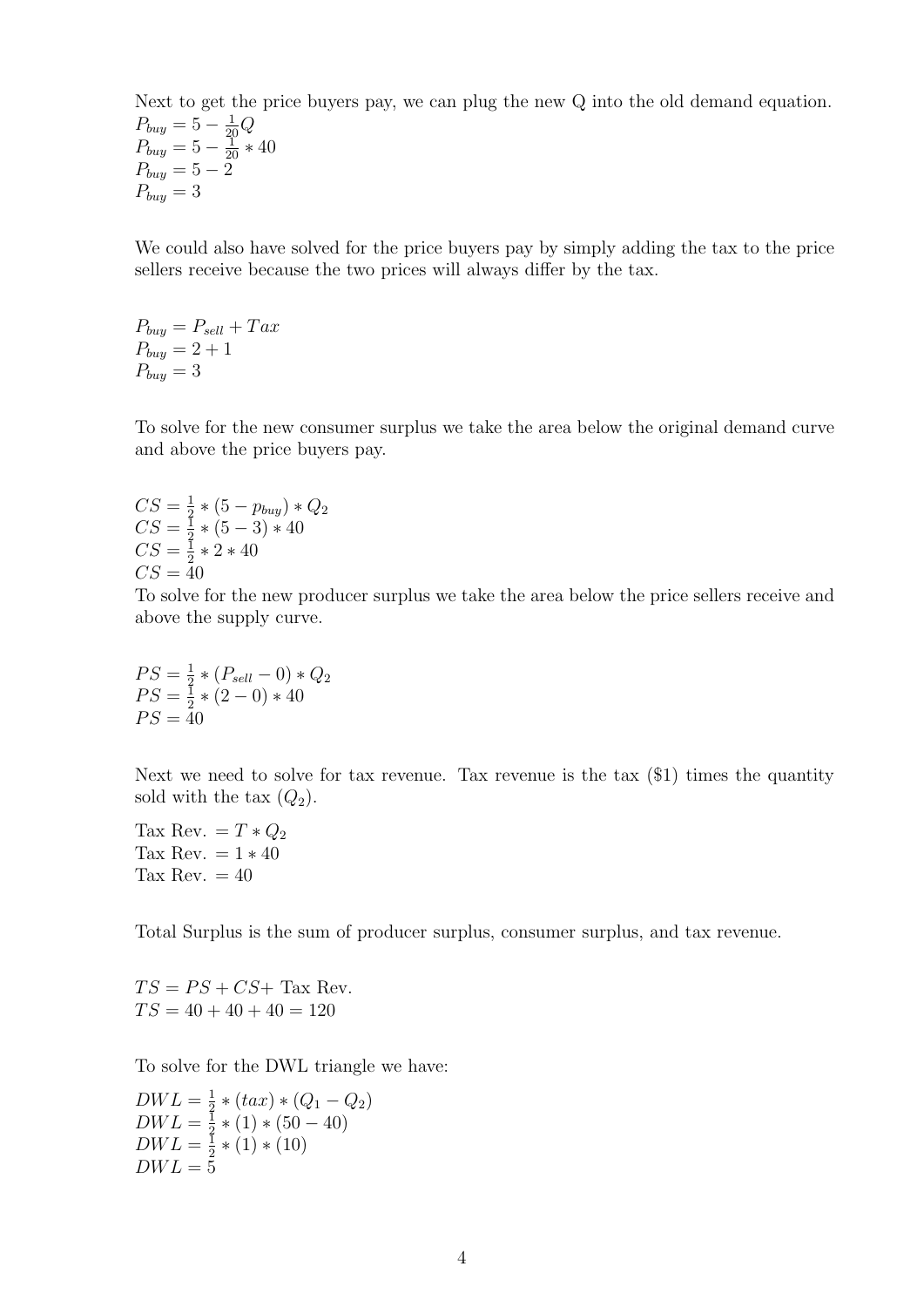Next to get the price buyers pay, we can plug the new Q into the old demand equation.  $P_{buy} = 5 - \frac{1}{20}Q$  $P_{buy} = 5 - \frac{1}{20} * 40$  $P_{buy} = 5 - 2$  $P_{buy} = 3$ 

We could also have solved for the price buyers pay by simply adding the tax to the price sellers receive because the two prices will always differ by the tax.

 $P_{buy} = P_{sell} + Tax$  $P_{buv} = 2 + 1$  $P_{buv} = 3$ 

To solve for the new consumer surplus we take the area below the original demand curve and above the price buyers pay.

$$
CS = \frac{1}{2} * (5 - p_{buy}) * Q_2
$$
  
\n
$$
CS = \frac{1}{2} * (5 - 3) * 40
$$
  
\n
$$
CS = \frac{1}{2} * 2 * 40
$$
  
\n
$$
CS = 40
$$

To solve for the new producer surplus we take the area below the price sellers receive and above the supply curve.

$$
PS = \frac{1}{2} * (P_{sell} - 0) * Q_2
$$
  
\n
$$
PS = \frac{1}{2} * (2 - 0) * 40
$$
  
\n
$$
PS = 40
$$

Next we need to solve for tax revenue. Tax revenue is the tax (\$1) times the quantity sold with the tax  $(Q_2)$ .

Tax Rev. =  $T \ast Q_2$ Tax Rev.  $= 1 * 40$ Tax Rev.  $= 40$ 

Total Surplus is the sum of producer surplus, consumer surplus, and tax revenue.

 $TS = PS + CS +$  Tax Rev.  $TS = 40 + 40 + 40 = 120$ 

To solve for the DWL triangle we have:

 $DWL = \frac{1}{2} * (tax) * (Q_1 - Q_2)$  $DWL = \frac{1}{3} * (1) * (50 - 40)$  $DWL = \frac{1}{2} * (1) * (10)$  $DWL = 5$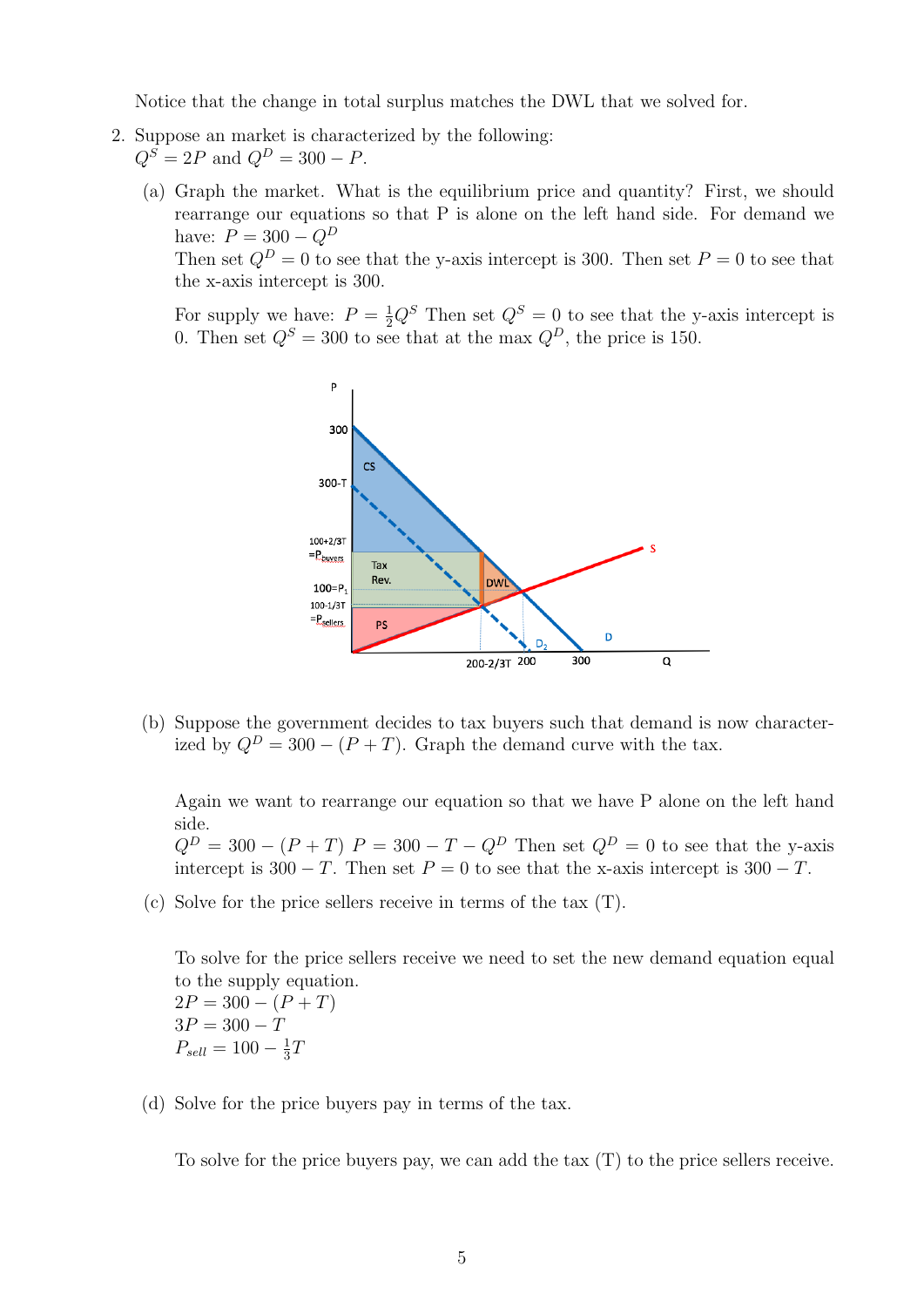Notice that the change in total surplus matches the DWL that we solved for.

- 2. Suppose an market is characterized by the following:  $Q^{S} = 2P$  and  $Q^{D} = 300 - P$ .
	- (a) Graph the market. What is the equilibrium price and quantity? First, we should rearrange our equations so that P is alone on the left hand side. For demand we have:  $P = 300 - Q^D$

Then set  $Q^D = 0$  to see that the y-axis intercept is 300. Then set  $P = 0$  to see that the x-axis intercept is 300.

For supply we have:  $P = \frac{1}{2}Q^S$  Then set  $Q^S = 0$  to see that the y-axis intercept is 0. Then set  $Q^S = 300$  to see that at the max  $Q^D$ , the price is 150.



(b) Suppose the government decides to tax buyers such that demand is now characterized by  $Q^D = 300 - (P + T)$ . Graph the demand curve with the tax.

Again we want to rearrange our equation so that we have P alone on the left hand side.

 $Q^{D} = 300 - (P + T) P = 300 - T - Q^{D}$  Then set  $Q^{D} = 0$  to see that the y-axis intercept is  $300 - T$ . Then set  $P = 0$  to see that the x-axis intercept is  $300 - T$ .

(c) Solve for the price sellers receive in terms of the tax (T).

To solve for the price sellers receive we need to set the new demand equation equal to the supply equation.  $2P = 300 - (P + T)$  $3P = 300 - T$  $P_{sell} = 100 - \frac{1}{3}T$ 

(d) Solve for the price buyers pay in terms of the tax.

To solve for the price buyers pay, we can add the tax (T) to the price sellers receive.